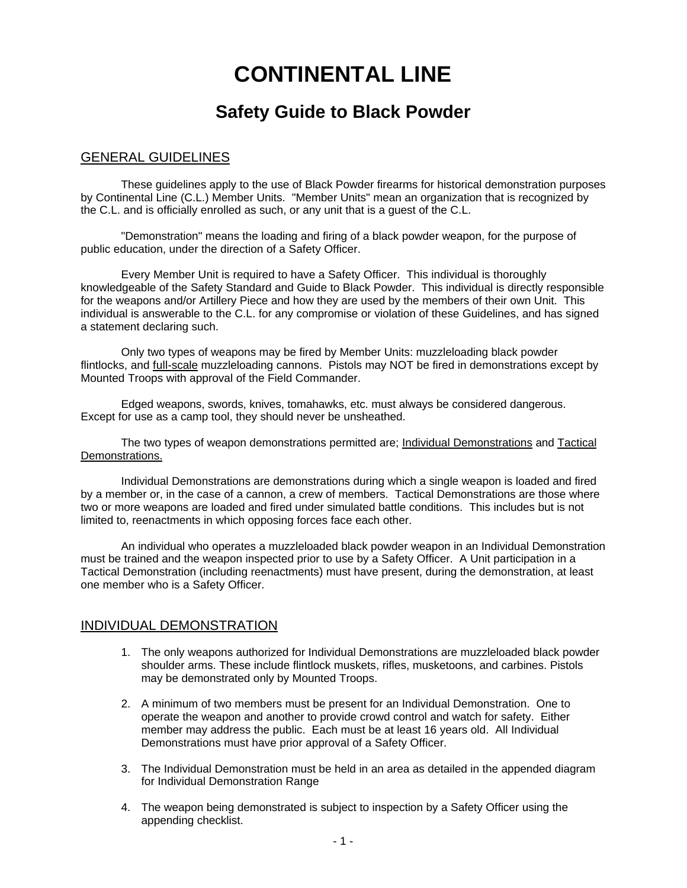# **CONTINENTAL LINE**

## **Safety Guide to Black Powder**

#### GENERAL GUIDELINES

These guidelines apply to the use of Black Powder firearms for historical demonstration purposes by Continental Line (C.L.) Member Units. "Member Units" mean an organization that is recognized by the C.L. and is officially enrolled as such, or any unit that is a guest of the C.L.

"Demonstration" means the loading and firing of a black powder weapon, for the purpose of public education, under the direction of a Safety Officer.

Every Member Unit is required to have a Safety Officer. This individual is thoroughly knowledgeable of the Safety Standard and Guide to Black Powder. This individual is directly responsible for the weapons and/or Artillery Piece and how they are used by the members of their own Unit. This individual is answerable to the C.L. for any compromise or violation of these Guidelines, and has signed a statement declaring such.

Only two types of weapons may be fired by Member Units: muzzleloading black powder flintlocks, and full-scale muzzleloading cannons. Pistols may NOT be fired in demonstrations except by Mounted Troops with approval of the Field Commander.

Edged weapons, swords, knives, tomahawks, etc. must always be considered dangerous. Except for use as a camp tool, they should never be unsheathed.

The two types of weapon demonstrations permitted are; Individual Demonstrations and Tactical Demonstrations.

Individual Demonstrations are demonstrations during which a single weapon is loaded and fired by a member or, in the case of a cannon, a crew of members. Tactical Demonstrations are those where two or more weapons are loaded and fired under simulated battle conditions. This includes but is not limited to, reenactments in which opposing forces face each other.

An individual who operates a muzzleloaded black powder weapon in an Individual Demonstration must be trained and the weapon inspected prior to use by a Safety Officer. A Unit participation in a Tactical Demonstration (including reenactments) must have present, during the demonstration, at least one member who is a Safety Officer.

### INDIVIDUAL DEMONSTRATION

- 1. The only weapons authorized for Individual Demonstrations are muzzleloaded black powder shoulder arms. These include flintlock muskets, rifles, musketoons, and carbines. Pistols may be demonstrated only by Mounted Troops.
- 2. A minimum of two members must be present for an Individual Demonstration. One to operate the weapon and another to provide crowd control and watch for safety. Either member may address the public. Each must be at least 16 years old. All Individual Demonstrations must have prior approval of a Safety Officer.
- 3. The Individual Demonstration must be held in an area as detailed in the appended diagram for Individual Demonstration Range
- 4. The weapon being demonstrated is subject to inspection by a Safety Officer using the appending checklist.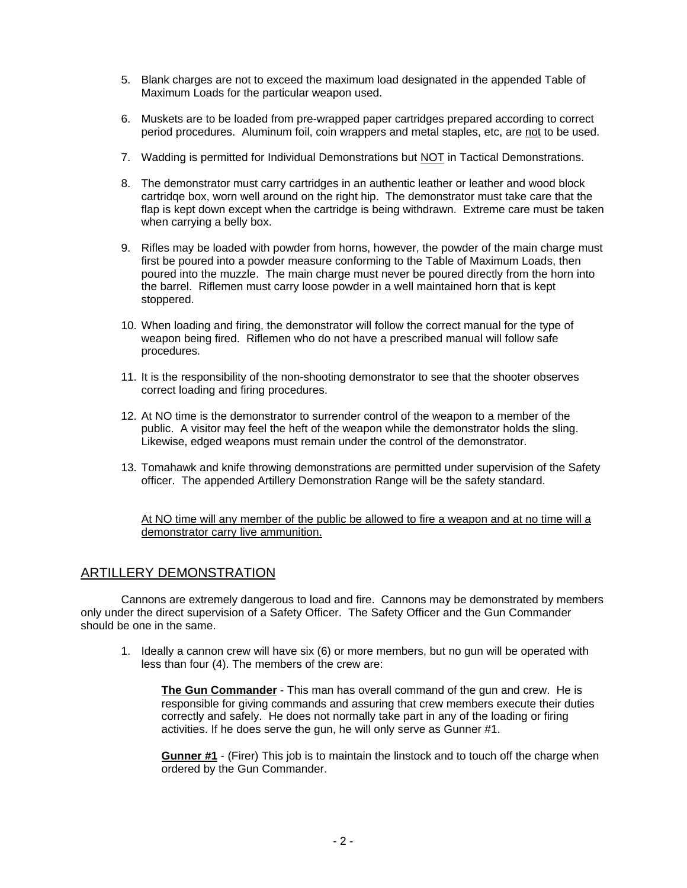- 5. Blank charges are not to exceed the maximum load designated in the appended Table of Maximum Loads for the particular weapon used.
- 6. Muskets are to be loaded from pre-wrapped paper cartridges prepared according to correct period procedures. Aluminum foil, coin wrappers and metal staples, etc, are not to be used.
- 7. Wadding is permitted for Individual Demonstrations but NOT in Tactical Demonstrations.
- 8. The demonstrator must carry cartridges in an authentic leather or leather and wood block cartridqe box, worn well around on the right hip. The demonstrator must take care that the flap is kept down except when the cartridge is being withdrawn. Extreme care must be taken when carrying a belly box.
- 9. Rifles may be loaded with powder from horns, however, the powder of the main charge must first be poured into a powder measure conforming to the Table of Maximum Loads, then poured into the muzzle. The main charge must never be poured directly from the horn into the barrel. Riflemen must carry loose powder in a well maintained horn that is kept stoppered.
- 10. When loading and firing, the demonstrator will follow the correct manual for the type of weapon being fired. Riflemen who do not have a prescribed manual will follow safe procedures.
- 11. It is the responsibility of the non-shooting demonstrator to see that the shooter observes correct loading and firing procedures.
- 12. At NO time is the demonstrator to surrender control of the weapon to a member of the public. A visitor may feel the heft of the weapon while the demonstrator holds the sling. Likewise, edged weapons must remain under the control of the demonstrator.
- 13. Tomahawk and knife throwing demonstrations are permitted under supervision of the Safety officer. The appended Artillery Demonstration Range will be the safety standard.

At NO time will any member of the public be allowed to fire a weapon and at no time will a demonstrator carry live ammunition.

### ARTILLERY DEMONSTRATION

Cannons are extremely dangerous to load and fire. Cannons may be demonstrated by members only under the direct supervision of a Safety Officer. The Safety Officer and the Gun Commander should be one in the same.

1. Ideally a cannon crew will have six (6) or more members, but no gun will be operated with less than four (4). The members of the crew are:

**The Gun Commander** - This man has overall command of the gun and crew. He is responsible for giving commands and assuring that crew members execute their duties correctly and safely. He does not normally take part in any of the loading or firing activities. If he does serve the gun, he will only serve as Gunner #1.

**Gunner #1** - (Firer) This job is to maintain the linstock and to touch off the charge when ordered by the Gun Commander.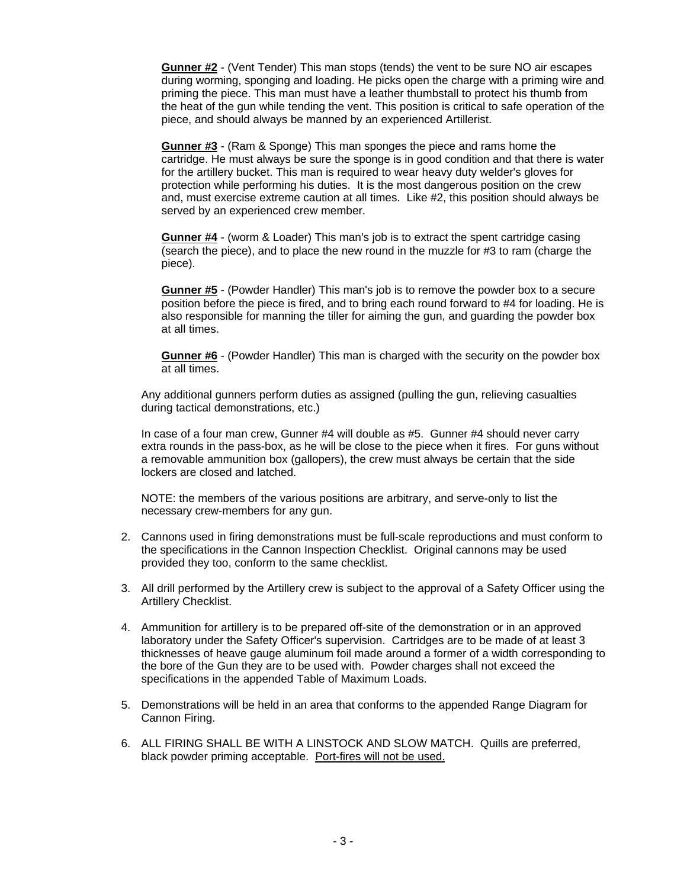**Gunner #2** - (Vent Tender) This man stops (tends) the vent to be sure NO air escapes during worming, sponging and loading. He picks open the charge with a priming wire and priming the piece. This man must have a leather thumbstall to protect his thumb from the heat of the gun while tending the vent. This position is critical to safe operation of the piece, and should always be manned by an experienced Artillerist.

**Gunner #3** - (Ram & Sponge) This man sponges the piece and rams home the cartridge. He must always be sure the sponge is in good condition and that there is water for the artillery bucket. This man is required to wear heavy duty welder's gloves for protection while performing his duties. It is the most dangerous position on the crew and, must exercise extreme caution at all times. Like #2, this position should always be served by an experienced crew member.

**Gunner #4** - (worm & Loader) This man's job is to extract the spent cartridge casing (search the piece), and to place the new round in the muzzle for #3 to ram (charge the piece).

**Gunner #5** - (Powder Handler) This man's job is to remove the powder box to a secure position before the piece is fired, and to bring each round forward to #4 for loading. He is also responsible for manning the tiller for aiming the gun, and guarding the powder box at all times.

**Gunner #6** - (Powder Handler) This man is charged with the security on the powder box at all times.

Any additional gunners perform duties as assigned (pulling the gun, relieving casualties during tactical demonstrations, etc.)

In case of a four man crew, Gunner #4 will double as #5. Gunner #4 should never carry extra rounds in the pass-box, as he will be close to the piece when it fires. For guns without a removable ammunition box (gallopers), the crew must always be certain that the side lockers are closed and latched.

NOTE: the members of the various positions are arbitrary, and serve-only to list the necessary crew-members for any gun.

- 2. Cannons used in firing demonstrations must be full-scale reproductions and must conform to the specifications in the Cannon Inspection Checklist. Original cannons may be used provided they too, conform to the same checklist.
- 3. All drill performed by the Artillery crew is subject to the approval of a Safety Officer using the Artillery Checklist.
- 4. Ammunition for artillery is to be prepared off-site of the demonstration or in an approved laboratory under the Safety Officer's supervision. Cartridges are to be made of at least 3 thicknesses of heave gauge aluminum foil made around a former of a width corresponding to the bore of the Gun they are to be used with. Powder charges shall not exceed the specifications in the appended Table of Maximum Loads.
- 5. Demonstrations will be held in an area that conforms to the appended Range Diagram for Cannon Firing.
- 6. ALL FIRING SHALL BE WITH A LINSTOCK AND SLOW MATCH. Quills are preferred, black powder priming acceptable. Port-fires will not be used.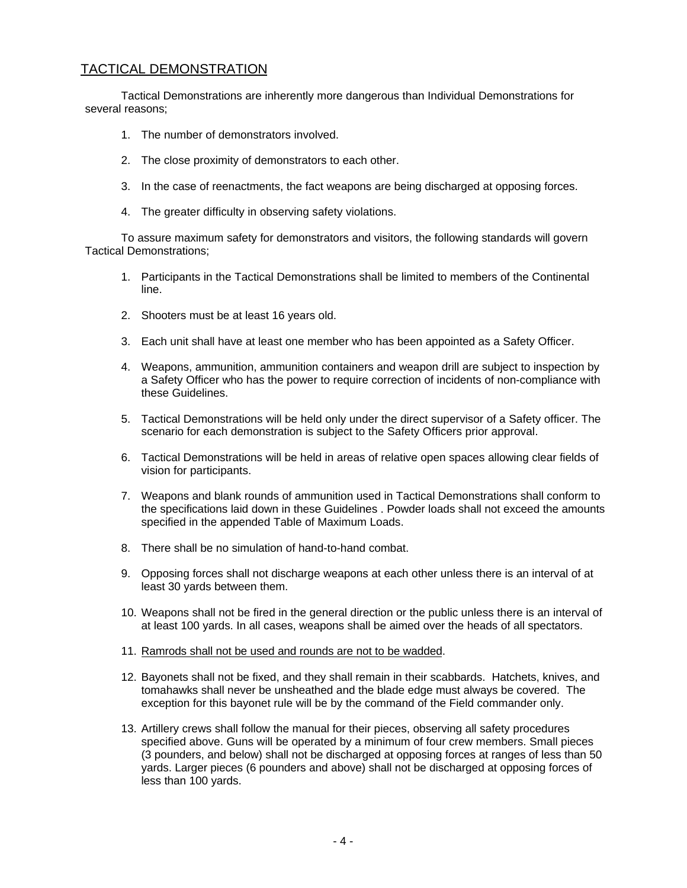### TACTICAL DEMONSTRATION

Tactical Demonstrations are inherently more dangerous than Individual Demonstrations for several reasons;

- 1. The number of demonstrators involved.
- 2. The close proximity of demonstrators to each other.
- 3. In the case of reenactments, the fact weapons are being discharged at opposing forces.
- 4. The greater difficulty in observing safety violations.

To assure maximum safety for demonstrators and visitors, the following standards will govern Tactical Demonstrations;

- 1. Participants in the Tactical Demonstrations shall be limited to members of the Continental line.
- 2. Shooters must be at least 16 years old.
- 3. Each unit shall have at least one member who has been appointed as a Safety Officer.
- 4. Weapons, ammunition, ammunition containers and weapon drill are subject to inspection by a Safety Officer who has the power to require correction of incidents of non-compliance with these Guidelines.
- 5. Tactical Demonstrations will be held only under the direct supervisor of a Safety officer. The scenario for each demonstration is subject to the Safety Officers prior approval.
- 6. Tactical Demonstrations will be held in areas of relative open spaces allowing clear fields of vision for participants.
- 7. Weapons and blank rounds of ammunition used in Tactical Demonstrations shall conform to the specifications laid down in these Guidelines . Powder loads shall not exceed the amounts specified in the appended Table of Maximum Loads.
- 8. There shall be no simulation of hand-to-hand combat.
- 9. Opposing forces shall not discharge weapons at each other unless there is an interval of at least 30 yards between them.
- 10. Weapons shall not be fired in the general direction or the public unless there is an interval of at least 100 yards. In all cases, weapons shall be aimed over the heads of all spectators.
- 11. Ramrods shall not be used and rounds are not to be wadded.
- 12. Bayonets shall not be fixed, and they shall remain in their scabbards. Hatchets, knives, and tomahawks shall never be unsheathed and the blade edge must always be covered. The exception for this bayonet rule will be by the command of the Field commander only.
- 13. Artillery crews shall follow the manual for their pieces, observing all safety procedures specified above. Guns will be operated by a minimum of four crew members. Small pieces (3 pounders, and below) shall not be discharged at opposing forces at ranges of less than 50 yards. Larger pieces (6 pounders and above) shall not be discharged at opposing forces of less than 100 yards.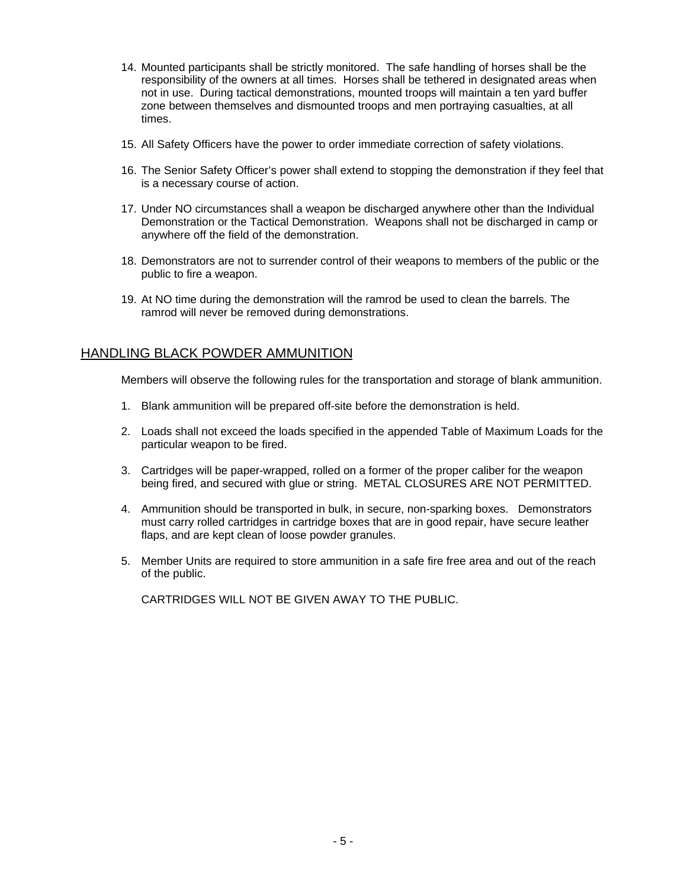- 14. Mounted participants shall be strictly monitored. The safe handling of horses shall be the responsibility of the owners at all times. Horses shall be tethered in designated areas when not in use. During tactical demonstrations, mounted troops will maintain a ten yard buffer zone between themselves and dismounted troops and men portraying casualties, at all times.
- 15. All Safety Officers have the power to order immediate correction of safety violations.
- 16. The Senior Safety Officer's power shall extend to stopping the demonstration if they feel that is a necessary course of action.
- 17. Under NO circumstances shall a weapon be discharged anywhere other than the Individual Demonstration or the Tactical Demonstration. Weapons shall not be discharged in camp or anywhere off the field of the demonstration.
- 18. Demonstrators are not to surrender control of their weapons to members of the public or the public to fire a weapon.
- 19. At NO time during the demonstration will the ramrod be used to clean the barrels. The ramrod will never be removed during demonstrations.

### HANDLING BLACK POWDER AMMUNITION

Members will observe the following rules for the transportation and storage of blank ammunition.

- 1. Blank ammunition will be prepared off-site before the demonstration is held.
- 2. Loads shall not exceed the loads specified in the appended Table of Maximum Loads for the particular weapon to be fired.
- 3. Cartridges will be paper-wrapped, rolled on a former of the proper caliber for the weapon being fired, and secured with glue or string. METAL CLOSURES ARE NOT PERMITTED.
- 4. Ammunition should be transported in bulk, in secure, non-sparking boxes. Demonstrators must carry rolled cartridges in cartridge boxes that are in good repair, have secure leather flaps, and are kept clean of loose powder granules.
- 5. Member Units are required to store ammunition in a safe fire free area and out of the reach of the public.

CARTRIDGES WILL NOT BE GIVEN AWAY TO THE PUBLIC.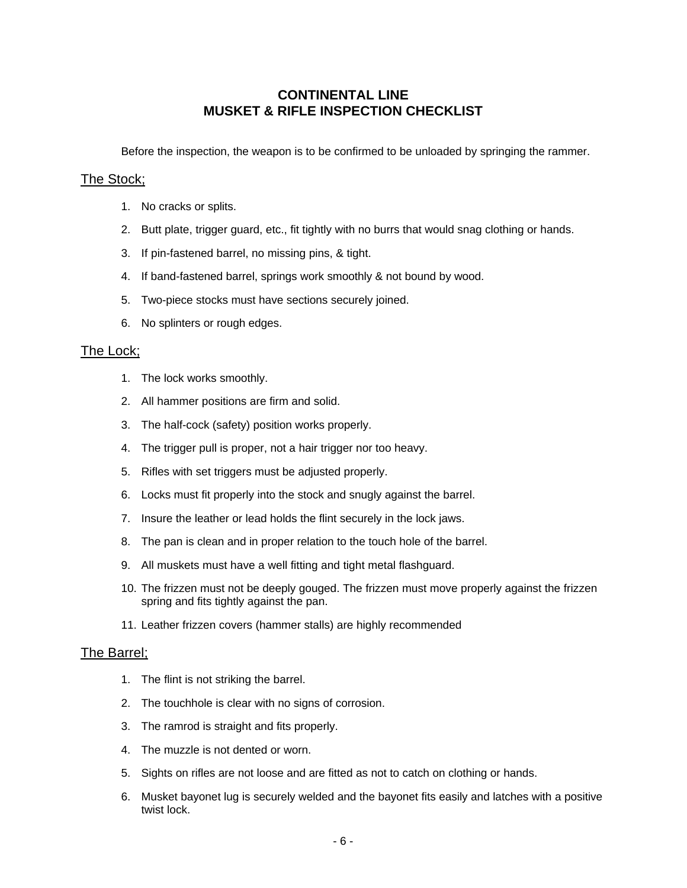### **CONTINENTAL LINE MUSKET & RIFLE INSPECTION CHECKLIST**

Before the inspection, the weapon is to be confirmed to be unloaded by springing the rammer.

#### The Stock;

- 1. No cracks or splits.
- 2. Butt plate, trigger guard, etc., fit tightly with no burrs that would snag clothing or hands.
- 3. If pin-fastened barrel, no missing pins, & tight.
- 4. If band-fastened barrel, springs work smoothly & not bound by wood.
- 5. Two-piece stocks must have sections securely joined.
- 6. No splinters or rough edges.

### The Lock;

- 1. The lock works smoothly.
- 2. All hammer positions are firm and solid.
- 3. The half-cock (safety) position works properly.
- 4. The trigger pull is proper, not a hair trigger nor too heavy.
- 5. Rifles with set triggers must be adjusted properly.
- 6. Locks must fit properly into the stock and snugly against the barrel.
- 7. Insure the leather or lead holds the flint securely in the lock jaws.
- 8. The pan is clean and in proper relation to the touch hole of the barrel.
- 9. All muskets must have a well fitting and tight metal flashguard.
- 10. The frizzen must not be deeply gouged. The frizzen must move properly against the frizzen spring and fits tightly against the pan.
- 11. Leather frizzen covers (hammer stalls) are highly recommended

### The Barrel;

- 1. The flint is not striking the barrel.
- 2. The touchhole is clear with no signs of corrosion.
- 3. The ramrod is straight and fits properly.
- 4. The muzzle is not dented or worn.
- 5. Sights on rifles are not loose and are fitted as not to catch on clothing or hands.
- 6. Musket bayonet lug is securely welded and the bayonet fits easily and latches with a positive twist lock.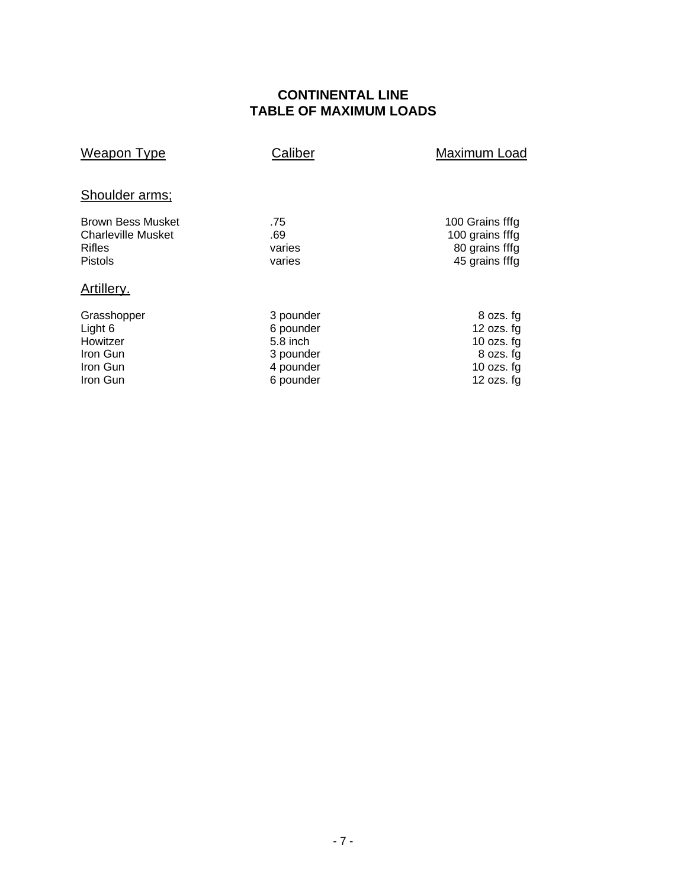### **CONTINENTAL LINE TABLE OF MAXIMUM LOADS**

| Weapon Type                                                                              | Caliber                                                                   | Maximum Load                                                                           |
|------------------------------------------------------------------------------------------|---------------------------------------------------------------------------|----------------------------------------------------------------------------------------|
| Shoulder arms;                                                                           |                                                                           |                                                                                        |
| <b>Brown Bess Musket</b><br><b>Charleville Musket</b><br><b>Rifles</b><br><b>Pistols</b> | .75<br>.69<br>varies<br>varies                                            | 100 Grains fffg<br>100 grains fffg<br>80 grains fffg<br>45 grains fffg                 |
| Artillery.                                                                               |                                                                           |                                                                                        |
| Grasshopper<br>Light 6<br>Howitzer<br>Iron Gun<br>Iron Gun<br>Iron Gun                   | 3 pounder<br>6 pounder<br>5.8 inch<br>3 pounder<br>4 pounder<br>6 pounder | 8 ozs. fg<br>12 $ozs. fg$<br>10 ozs. $fg$<br>8 ozs. fg<br>10 ozs. $fg$<br>12 $ozs. fg$ |
|                                                                                          |                                                                           |                                                                                        |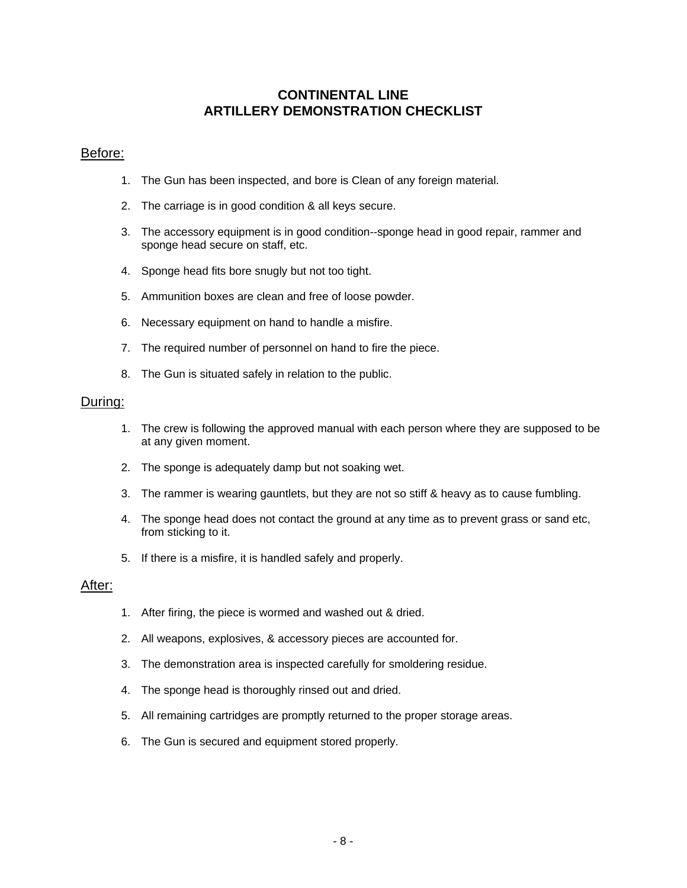### **CONTINENTAL LINE ARTILLERY DEMONSTRATION CHECKLIST**

#### Before:

- 1. The Gun has been inspected, and bore is Clean of any foreign material.
- 2. The carriage is in good condition & all keys secure.
- 3. The accessory equipment is in good condition--sponge head in good repair, rammer and sponge head secure on staff, etc.
- 4. Sponge head fits bore snugly but not too tight.
- 5. Ammunition boxes are clean and free of loose powder.
- 6. Necessary equipment on hand to handle a misfire.
- 7. The required number of personnel on hand to fire the piece.
- 8. The Gun is situated safely in relation to the public.

#### During:

- 1. The crew is following the approved manual with each person where they are supposed to be at any given moment.
- 2. The sponge is adequately damp but not soaking wet.
- 3. The rammer is wearing gauntlets, but they are not so stiff & heavy as to cause fumbling.
- 4. The sponge head does not contact the ground at any time as to prevent grass or sand etc, from sticking to it.
- 5. If there is a misfire, it is handled safely and properly.

#### After:

- 1. After firing, the piece is wormed and washed out & dried.
- 2. All weapons, explosives, & accessory pieces are accounted for.
- 3. The demonstration area is inspected carefully for smoldering residue.
- 4. The sponge head is thoroughly rinsed out and dried.
- 5. All remaining cartridges are promptly returned to the proper storage areas.
- 6. The Gun is secured and equipment stored properly.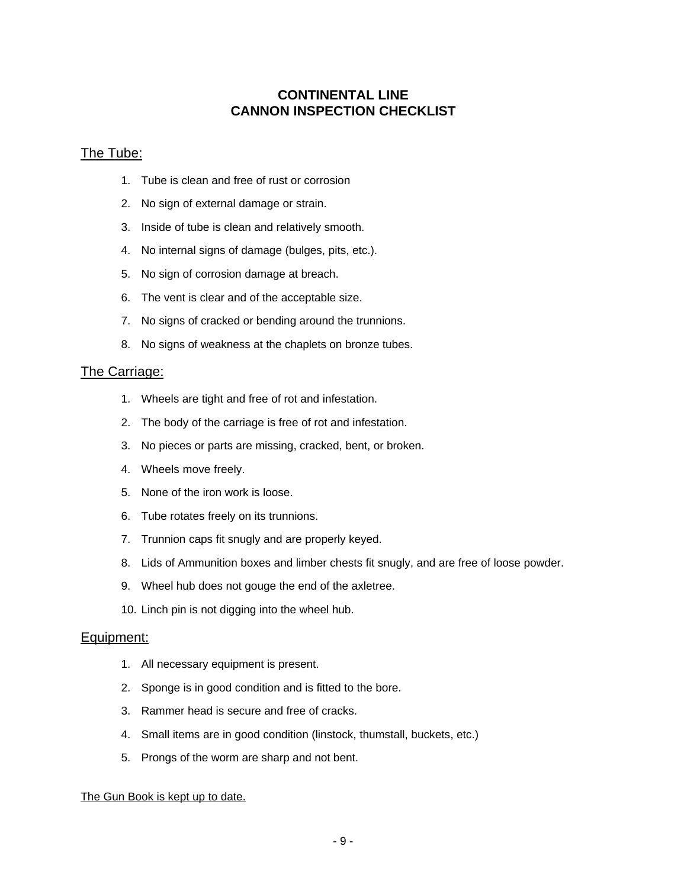### **CONTINENTAL LINE CANNON INSPECTION CHECKLIST**

### The Tube:

- 1. Tube is clean and free of rust or corrosion
- 2. No sign of external damage or strain.
- 3. Inside of tube is clean and relatively smooth.
- 4. No internal signs of damage (bulges, pits, etc.).
- 5. No sign of corrosion damage at breach.
- 6. The vent is clear and of the acceptable size.
- 7. No signs of cracked or bending around the trunnions.
- 8. No signs of weakness at the chaplets on bronze tubes.

#### The Carriage:

- 1. Wheels are tight and free of rot and infestation.
- 2. The body of the carriage is free of rot and infestation.
- 3. No pieces or parts are missing, cracked, bent, or broken.
- 4. Wheels move freely.
- 5. None of the iron work is loose.
- 6. Tube rotates freely on its trunnions.
- 7. Trunnion caps fit snugly and are properly keyed.
- 8. Lids of Ammunition boxes and limber chests fit snugly, and are free of loose powder.
- 9. Wheel hub does not gouge the end of the axletree.
- 10. Linch pin is not digging into the wheel hub.

### Equipment:

- 1. All necessary equipment is present.
- 2. Sponge is in good condition and is fitted to the bore.
- 3. Rammer head is secure and free of cracks.
- 4. Small items are in good condition (linstock, thumstall, buckets, etc.)
- 5. Prongs of the worm are sharp and not bent.

#### The Gun Book is kept up to date.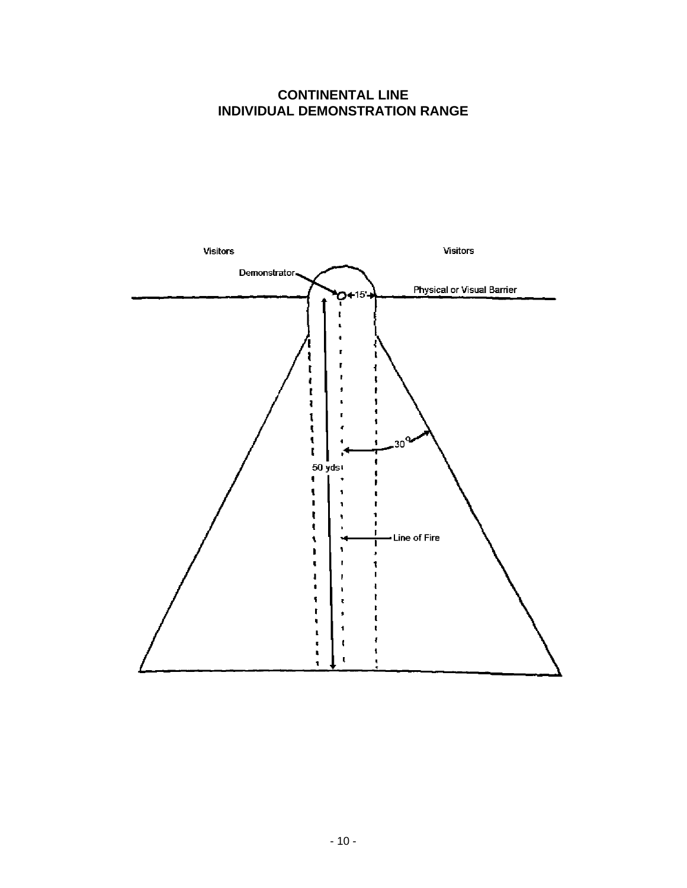### **CONTINENTAL LINE INDIVIDUAL DEMONSTRATION RANGE**